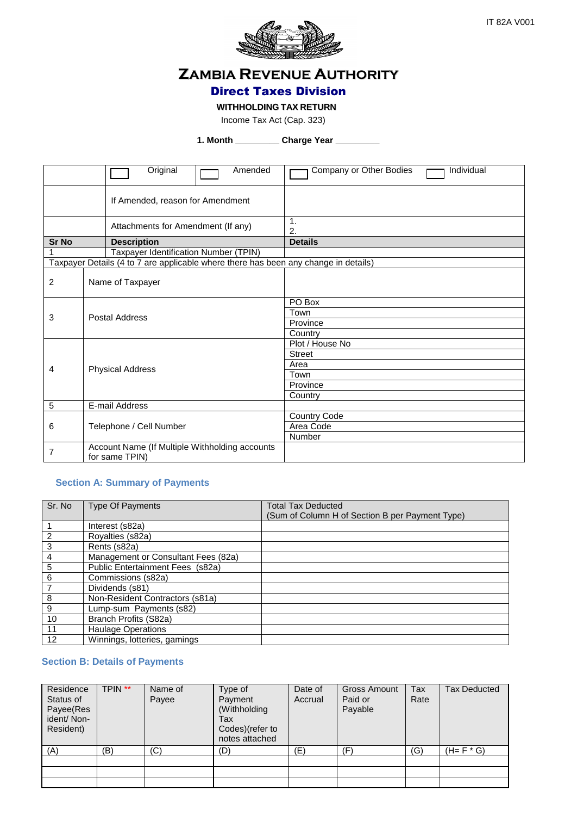

# **ZAMBIA REVENUE AUTHORITY**

## Direct Taxes Division

#### **WITHHOLDING TAX RETURN**

Income Tax Act (Cap. 323)

**1. Month \_\_\_\_\_\_\_\_\_ Charge Year \_\_\_\_\_\_\_\_\_**

|                | Original<br>Amended                                                                 | Individual<br>Company or Other Bodies |
|----------------|-------------------------------------------------------------------------------------|---------------------------------------|
|                | If Amended, reason for Amendment                                                    |                                       |
|                | Attachments for Amendment (If any)                                                  | $\mathbf{1}$ .<br>2.                  |
| <b>Sr No</b>   | <b>Description</b>                                                                  | <b>Details</b>                        |
| 1              | Taxpayer Identification Number (TPIN)                                               |                                       |
|                | Taxpayer Details (4 to 7 are applicable where there has been any change in details) |                                       |
| $\overline{c}$ | Name of Taxpayer                                                                    |                                       |
|                |                                                                                     | PO Box                                |
| 3              | Postal Address                                                                      | Town                                  |
|                |                                                                                     | Province                              |
|                |                                                                                     | Country                               |
|                |                                                                                     | Plot / House No                       |
|                |                                                                                     | <b>Street</b>                         |
| 4              | <b>Physical Address</b>                                                             | Area                                  |
|                |                                                                                     | Town                                  |
|                |                                                                                     | Province                              |
|                |                                                                                     | Country                               |
| 5              | E-mail Address                                                                      |                                       |
| 6              |                                                                                     | Country Code                          |
|                | Telephone / Cell Number                                                             | Area Code                             |
|                |                                                                                     | Number                                |
| $\overline{7}$ | Account Name (If Multiple Withholding accounts<br>for same TPIN)                    |                                       |

#### **Section A: Summary of Payments**

| Sr. No         | <b>Type Of Payments</b>             | <b>Total Tax Deducted</b><br>(Sum of Column H of Section B per Payment Type) |
|----------------|-------------------------------------|------------------------------------------------------------------------------|
|                | Interest (s82a)                     |                                                                              |
| $\overline{c}$ | Royalties (s82a)                    |                                                                              |
| $\sqrt{3}$     | Rents (s82a)                        |                                                                              |
| 4              | Management or Consultant Fees (82a) |                                                                              |
| 5              | Public Entertainment Fees (s82a)    |                                                                              |
| 6              | Commissions (s82a)                  |                                                                              |
|                | Dividends (s81)                     |                                                                              |
| 8              | Non-Resident Contractors (s81a)     |                                                                              |
| 9              | Lump-sum Payments (s82)             |                                                                              |
| 10             | Branch Profits (S82a)               |                                                                              |
| 11             | <b>Haulage Operations</b>           |                                                                              |
| 12             | Winnings, lotteries, gamings        |                                                                              |

#### **Section B: Details of Payments**

| Residence<br>Status of<br>Payee(Res<br>ident/Non-<br>Resident) | TPIN ** | Name of<br>Payee | Type of<br>Payment<br>(Withholding<br>Tax<br>Codes)(refer to<br>notes attached | Date of<br>Accrual | <b>Gross Amount</b><br>Paid or<br>Payable | Tax<br>Rate | <b>Tax Deducted</b> |
|----------------------------------------------------------------|---------|------------------|--------------------------------------------------------------------------------|--------------------|-------------------------------------------|-------------|---------------------|
| (A)                                                            | (B)     | (C)              | (D)                                                                            | $(\mathsf{E})$     | Έ                                         | (G)         | $(H=F * G)$         |
|                                                                |         |                  |                                                                                |                    |                                           |             |                     |
|                                                                |         |                  |                                                                                |                    |                                           |             |                     |
|                                                                |         |                  |                                                                                |                    |                                           |             |                     |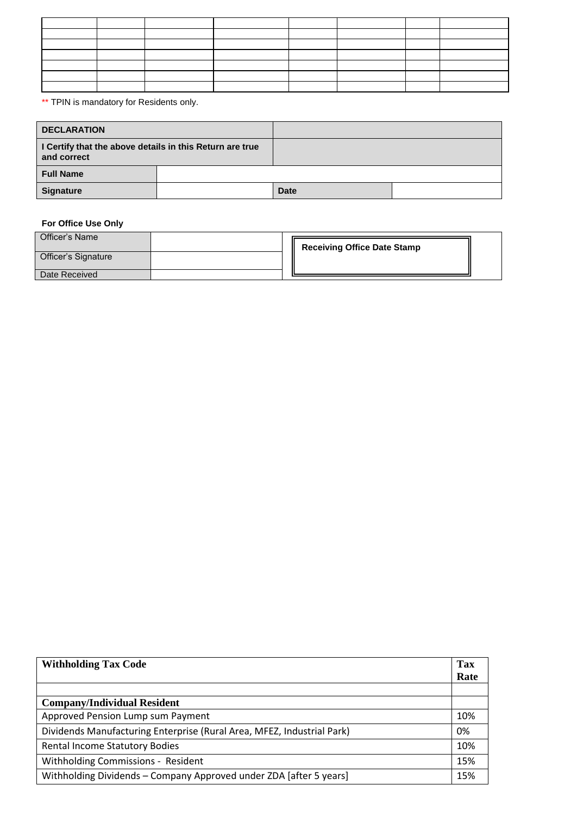\*\* TPIN is mandatory for Residents only.

| <b>DECLARATION</b>                                                      |  |             |  |
|-------------------------------------------------------------------------|--|-------------|--|
| I Certify that the above details in this Return are true<br>and correct |  |             |  |
| <b>Full Name</b>                                                        |  |             |  |
| <b>Signature</b>                                                        |  | <b>Date</b> |  |

### **For Office Use Only**

| Officer's Name      |  | <b>Receiving Office Date Stamp</b> |  |
|---------------------|--|------------------------------------|--|
| Officer's Signature |  |                                    |  |
| Date Received       |  |                                    |  |

| <b>Withholding Tax Code</b>                                            | Tax  |
|------------------------------------------------------------------------|------|
|                                                                        | Rate |
|                                                                        |      |
| <b>Company/Individual Resident</b>                                     |      |
| Approved Pension Lump sum Payment                                      | 10%  |
| Dividends Manufacturing Enterprise (Rural Area, MFEZ, Industrial Park) | 0%   |
| <b>Rental Income Statutory Bodies</b>                                  | 10%  |
| Withholding Commissions - Resident                                     | 15%  |
| Withholding Dividends - Company Approved under ZDA [after 5 years]     | 15%  |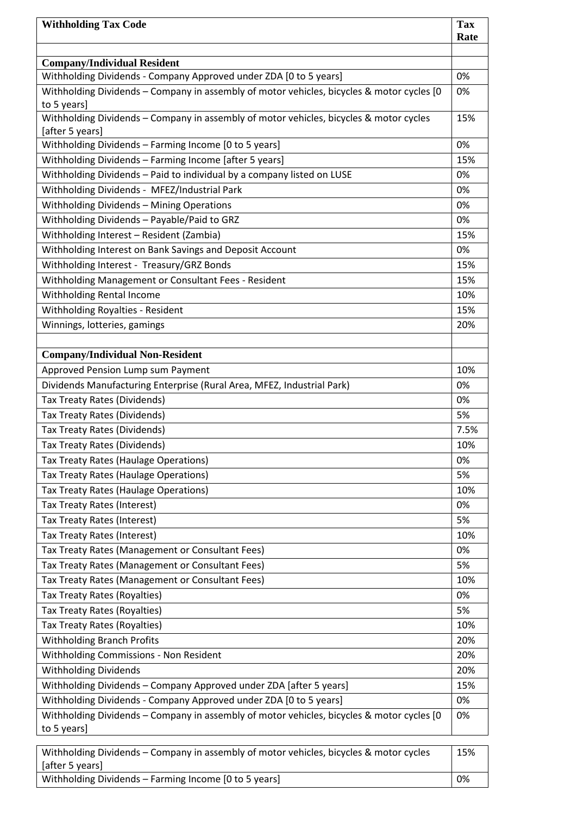| <b>Withholding Tax Code</b>                                                               | <b>Tax</b> |
|-------------------------------------------------------------------------------------------|------------|
|                                                                                           | Rate       |
| <b>Company/Individual Resident</b>                                                        |            |
| Withholding Dividends - Company Approved under ZDA [0 to 5 years]                         | 0%         |
| Withholding Dividends - Company in assembly of motor vehicles, bicycles & motor cycles [0 | 0%         |
| to 5 years]                                                                               |            |
| Withholding Dividends - Company in assembly of motor vehicles, bicycles & motor cycles    | 15%        |
| [after 5 years]                                                                           |            |
| Withholding Dividends - Farming Income [0 to 5 years]                                     | 0%         |
| Withholding Dividends - Farming Income [after 5 years]                                    | 15%        |
| Withholding Dividends - Paid to individual by a company listed on LUSE                    | 0%         |
| Withholding Dividends - MFEZ/Industrial Park                                              | 0%         |
| Withholding Dividends - Mining Operations                                                 | 0%         |
| Withholding Dividends - Payable/Paid to GRZ                                               | 0%         |
| Withholding Interest - Resident (Zambia)                                                  | 15%        |
| Withholding Interest on Bank Savings and Deposit Account                                  | 0%         |
| Withholding Interest - Treasury/GRZ Bonds                                                 | 15%        |
| Withholding Management or Consultant Fees - Resident                                      | 15%        |
| Withholding Rental Income                                                                 | 10%        |
| Withholding Royalties - Resident                                                          | 15%        |
| Winnings, lotteries, gamings                                                              | 20%        |
|                                                                                           |            |
| <b>Company/Individual Non-Resident</b>                                                    |            |
| Approved Pension Lump sum Payment                                                         | 10%        |
| Dividends Manufacturing Enterprise (Rural Area, MFEZ, Industrial Park)                    | 0%         |
| <b>Tax Treaty Rates (Dividends)</b>                                                       | 0%         |
| Tax Treaty Rates (Dividends)                                                              | 5%         |
| Tax Treaty Rates (Dividends)                                                              | 7.5%       |
| <b>Tax Treaty Rates (Dividends)</b>                                                       | 10%        |
| Tax Treaty Rates (Haulage Operations)                                                     | 0%         |
| Tax Treaty Rates (Haulage Operations)                                                     | 5%         |
| <b>Tax Treaty Rates (Haulage Operations)</b>                                              | 10%        |
| Tax Treaty Rates (Interest)                                                               | 0%         |
| Tax Treaty Rates (Interest)                                                               | 5%         |
| <b>Tax Treaty Rates (Interest)</b>                                                        | 10%        |
| Tax Treaty Rates (Management or Consultant Fees)                                          | 0%         |
| Tax Treaty Rates (Management or Consultant Fees)                                          | 5%         |
| Tax Treaty Rates (Management or Consultant Fees)                                          | 10%        |
| Tax Treaty Rates (Royalties)                                                              | 0%         |
| Tax Treaty Rates (Royalties)                                                              | 5%         |
| Tax Treaty Rates (Royalties)                                                              | 10%        |
| <b>Withholding Branch Profits</b>                                                         | 20%        |
| Withholding Commissions - Non Resident                                                    | 20%        |
| <b>Withholding Dividends</b>                                                              | 20%        |
| Withholding Dividends - Company Approved under ZDA [after 5 years]                        | 15%        |
| Withholding Dividends - Company Approved under ZDA [0 to 5 years]                         | 0%         |
| Withholding Dividends - Company in assembly of motor vehicles, bicycles & motor cycles [0 | 0%         |
| to 5 years]                                                                               |            |
| Withholding Dividends - Company in assembly of motor vehicles, bisycles & motor sycles    | 1E0/       |

| Withholding Dividends – Company in assembly of motor vehicles, bicycles & motor cycles | 15% |
|----------------------------------------------------------------------------------------|-----|
| [after 5 years]                                                                        |     |
| Withholding Dividends – Farming Income [0 to 5 years]                                  | 0%  |